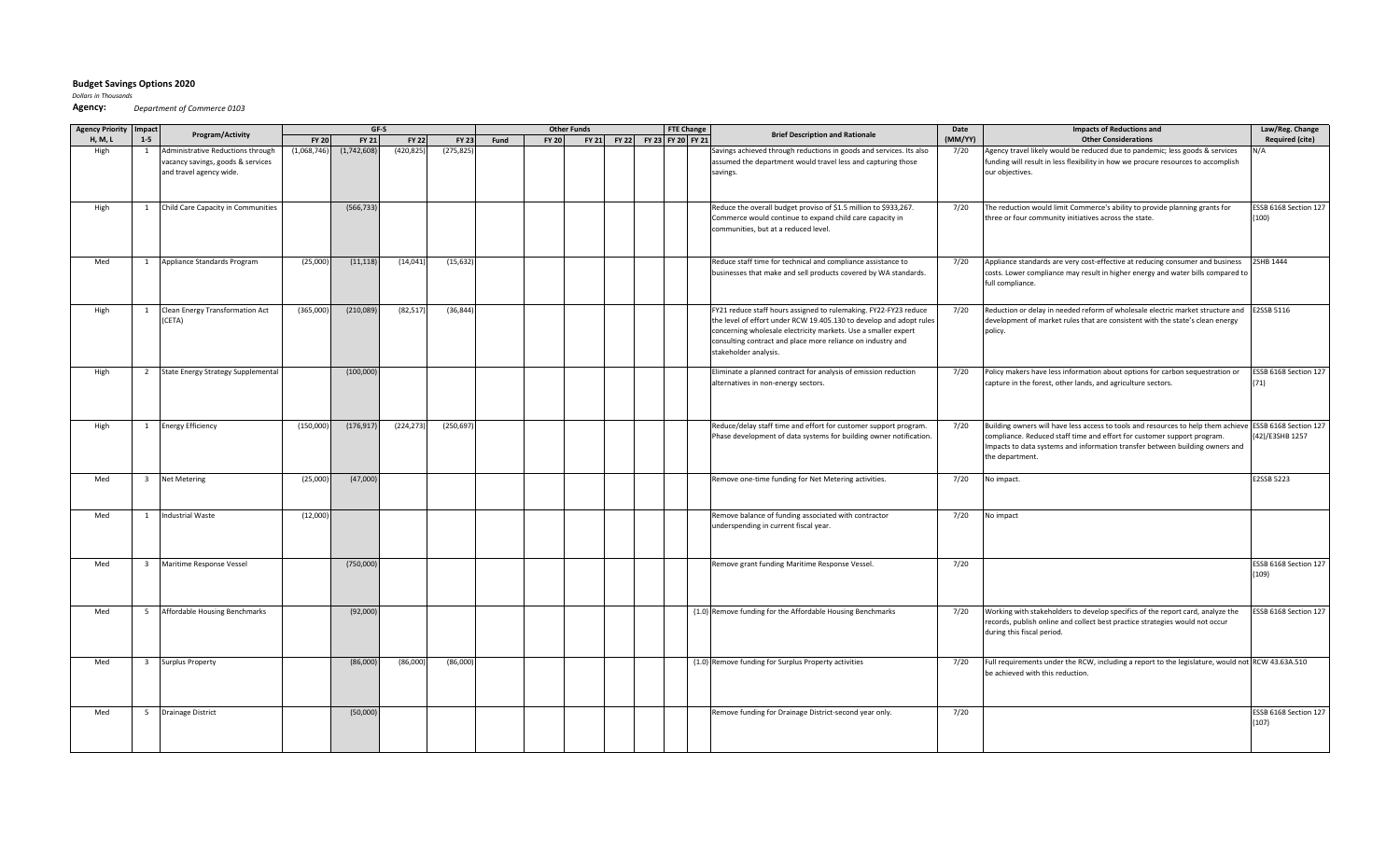## **Budget Savings Options 2020**

*Dollars in Thousands*

**Agency:**  *Department of Commerce 0103*

| <b>Agency Priority</b> | Impact                  |                                           | GF-S         |              |              |              | <b>Other Funds</b><br><b>FTE Change</b> |              |  |                               |  |  | <b>Brief Description and Rationale</b>                              | Date    | <b>Impacts of Reductions and</b>                                                                        | Law/Reg. Change        |
|------------------------|-------------------------|-------------------------------------------|--------------|--------------|--------------|--------------|-----------------------------------------|--------------|--|-------------------------------|--|--|---------------------------------------------------------------------|---------|---------------------------------------------------------------------------------------------------------|------------------------|
| <b>H, M, L</b>         | $1-5$                   | Program/Activity                          | <b>FY 20</b> | <b>FY 21</b> | <b>FY 22</b> | <b>FY 23</b> | Fund                                    | <b>FY 20</b> |  | FY 21 FY 22 FY 23 FY 20 FY 21 |  |  |                                                                     | (MM/YY) | <b>Other Considerations</b>                                                                             | <b>Required (cite)</b> |
| High                   | 1                       | Administrative Reductions through         | (1,068,746)  | (1,742,608)  | (420, 825)   | (275, 825)   |                                         |              |  |                               |  |  | Savings achieved through reductions in goods and services. Its also | 7/20    | Agency travel likely would be reduced due to pandemic; less goods & services                            |                        |
|                        |                         | vacancy savings, goods & services         |              |              |              |              |                                         |              |  |                               |  |  | assumed the department would travel less and capturing those        |         | funding will result in less flexibility in how we procure resources to accomplish                       |                        |
|                        |                         | and travel agency wide.                   |              |              |              |              |                                         |              |  |                               |  |  | savings.                                                            |         | our objectives.                                                                                         |                        |
|                        |                         |                                           |              |              |              |              |                                         |              |  |                               |  |  |                                                                     |         |                                                                                                         |                        |
|                        |                         |                                           |              |              |              |              |                                         |              |  |                               |  |  |                                                                     |         |                                                                                                         |                        |
| High                   | 1                       | Child Care Capacity in Communities        |              | (566, 733)   |              |              |                                         |              |  |                               |  |  | Reduce the overall budget proviso of \$1.5 million to \$933,267.    | 7/20    | The reduction would limit Commerce's ability to provide planning grants for                             | ESSB 6168 Section 127  |
|                        |                         |                                           |              |              |              |              |                                         |              |  |                               |  |  | Commerce would continue to expand child care capacity in            |         | three or four community initiatives across the state.                                                   | (100)                  |
|                        |                         |                                           |              |              |              |              |                                         |              |  |                               |  |  | communities, but at a reduced level.                                |         |                                                                                                         |                        |
|                        |                         |                                           |              |              |              |              |                                         |              |  |                               |  |  |                                                                     |         |                                                                                                         |                        |
|                        |                         |                                           |              |              |              |              |                                         |              |  |                               |  |  |                                                                     |         |                                                                                                         |                        |
| Med                    | <sup>1</sup>            | Appliance Standards Program               | (25,000)     | (11, 118)    | (14, 041)    | (15, 632)    |                                         |              |  |                               |  |  | Reduce staff time for technical and compliance assistance to        | 7/20    | Appliance standards are very cost-effective at reducing consumer and business                           | 2SHB 1444              |
|                        |                         |                                           |              |              |              |              |                                         |              |  |                               |  |  | businesses that make and sell products covered by WA standards.     |         | costs. Lower compliance may result in higher energy and water bills compared to                         |                        |
|                        |                         |                                           |              |              |              |              |                                         |              |  |                               |  |  |                                                                     |         | full compliance.                                                                                        |                        |
|                        |                         |                                           |              |              |              |              |                                         |              |  |                               |  |  |                                                                     |         |                                                                                                         |                        |
|                        |                         |                                           |              |              |              |              |                                         |              |  |                               |  |  |                                                                     |         |                                                                                                         |                        |
| High                   | -1                      | Clean Energy Transformation Act           | (365,000)    | (210,089)    | (82, 517)    | (36, 844)    |                                         |              |  |                               |  |  | FY21 reduce staff hours assigned to rulemaking. FY22-FY23 reduce    | 7/20    | Reduction or delay in needed reform of wholesale electric market structure and E2SSB 5116               |                        |
|                        |                         | (CETA)                                    |              |              |              |              |                                         |              |  |                               |  |  | the level of effort under RCW 19.405.130 to develop and adopt rules |         | development of market rules that are consistent with the state's clean energy                           |                        |
|                        |                         |                                           |              |              |              |              |                                         |              |  |                               |  |  | concerning wholesale electricity markets. Use a smaller expert      |         | policy.                                                                                                 |                        |
|                        |                         |                                           |              |              |              |              |                                         |              |  |                               |  |  | consulting contract and place more reliance on industry and         |         |                                                                                                         |                        |
|                        |                         |                                           |              |              |              |              |                                         |              |  |                               |  |  | stakeholder analysis.                                               |         |                                                                                                         |                        |
| High                   | 2                       | <b>State Energy Strategy Supplemental</b> |              | (100,000)    |              |              |                                         |              |  |                               |  |  | Eliminate a planned contract for analysis of emission reduction     | 7/20    | Policy makers have less information about options for carbon sequestration or                           | ESSB 6168 Section 127  |
|                        |                         |                                           |              |              |              |              |                                         |              |  |                               |  |  | alternatives in non-energy sectors.                                 |         | capture in the forest, other lands, and agriculture sectors.                                            | (71)                   |
|                        |                         |                                           |              |              |              |              |                                         |              |  |                               |  |  |                                                                     |         |                                                                                                         |                        |
|                        |                         |                                           |              |              |              |              |                                         |              |  |                               |  |  |                                                                     |         |                                                                                                         |                        |
|                        |                         |                                           |              |              |              |              |                                         |              |  |                               |  |  |                                                                     |         |                                                                                                         |                        |
| High                   | <sup>1</sup>            | <b>Energy Efficiency</b>                  | (150,000)    | (176, 917)   | (224, 273)   | (250, 697)   |                                         |              |  |                               |  |  | Reduce/delay staff time and effort for customer support program.    | 7/20    | Building owners will have less access to tools and resources to help them achieve ESSB 6168 Section 127 |                        |
|                        |                         |                                           |              |              |              |              |                                         |              |  |                               |  |  | Phase development of data systems for building owner notification.  |         | compliance. Reduced staff time and effort for customer support program.                                 | (42)/E3SHB 1257        |
|                        |                         |                                           |              |              |              |              |                                         |              |  |                               |  |  |                                                                     |         | Impacts to data systems and information transfer between building owners and                            |                        |
|                        |                         |                                           |              |              |              |              |                                         |              |  |                               |  |  |                                                                     |         | the department.                                                                                         |                        |
|                        |                         |                                           |              |              |              |              |                                         |              |  |                               |  |  |                                                                     |         |                                                                                                         |                        |
| Med                    | $\overline{\mathbf{3}}$ | <b>Net Metering</b>                       | (25,000)     | (47,000)     |              |              |                                         |              |  |                               |  |  | Remove one-time funding for Net Metering activities.                | 7/20    | No impact.                                                                                              | E2SSB 5223             |
|                        |                         |                                           |              |              |              |              |                                         |              |  |                               |  |  |                                                                     |         |                                                                                                         |                        |
|                        |                         |                                           |              |              |              |              |                                         |              |  |                               |  |  |                                                                     |         |                                                                                                         |                        |
| Med                    | $\overline{1}$          | <b>Industrial Waste</b>                   | (12,000)     |              |              |              |                                         |              |  |                               |  |  | Remove balance of funding associated with contractor                | 7/20    | No impact                                                                                               |                        |
|                        |                         |                                           |              |              |              |              |                                         |              |  |                               |  |  | underspending in current fiscal year.                               |         |                                                                                                         |                        |
|                        |                         |                                           |              |              |              |              |                                         |              |  |                               |  |  |                                                                     |         |                                                                                                         |                        |
|                        |                         |                                           |              |              |              |              |                                         |              |  |                               |  |  |                                                                     |         |                                                                                                         |                        |
| Med                    | $\overline{\mathbf{3}}$ | Maritime Response Vessel                  |              | (750,000     |              |              |                                         |              |  |                               |  |  | Remove grant funding Maritime Response Vessel.                      | 7/20    |                                                                                                         | ESSB 6168 Section 127  |
|                        |                         |                                           |              |              |              |              |                                         |              |  |                               |  |  |                                                                     |         |                                                                                                         | (109)                  |
|                        |                         |                                           |              |              |              |              |                                         |              |  |                               |  |  |                                                                     |         |                                                                                                         |                        |
|                        |                         |                                           |              |              |              |              |                                         |              |  |                               |  |  |                                                                     |         |                                                                                                         |                        |
|                        |                         |                                           |              |              |              |              |                                         |              |  |                               |  |  |                                                                     |         |                                                                                                         |                        |
| Med                    | 5                       | Affordable Housing Benchmarks             |              | (92,000)     |              |              |                                         |              |  |                               |  |  | (1.0) Remove funding for the Affordable Housing Benchmarks          | 7/20    | Working with stakeholders to develop specifics of the report card, analyze the                          | ESSB 6168 Section 127  |
|                        |                         |                                           |              |              |              |              |                                         |              |  |                               |  |  |                                                                     |         | records, publish online and collect best practice strategies would not occur                            |                        |
|                        |                         |                                           |              |              |              |              |                                         |              |  |                               |  |  |                                                                     |         | during this fiscal period.                                                                              |                        |
|                        |                         |                                           |              |              |              |              |                                         |              |  |                               |  |  |                                                                     |         |                                                                                                         |                        |
| Med                    | $\overline{\mathbf{3}}$ | <b>Surplus Property</b>                   |              | (86,000)     | (86,000)     | (86,000)     |                                         |              |  |                               |  |  | (1.0) Remove funding for Surplus Property activities                | 7/20    | Full requirements under the RCW, including a report to the legislature, would not RCW 43.63A.510        |                        |
|                        |                         |                                           |              |              |              |              |                                         |              |  |                               |  |  |                                                                     |         | be achieved with this reduction.                                                                        |                        |
|                        |                         |                                           |              |              |              |              |                                         |              |  |                               |  |  |                                                                     |         |                                                                                                         |                        |
|                        |                         |                                           |              |              |              |              |                                         |              |  |                               |  |  |                                                                     |         |                                                                                                         |                        |
|                        |                         |                                           |              |              |              |              |                                         |              |  |                               |  |  |                                                                     |         |                                                                                                         |                        |
| Med                    | 5                       | <b>Drainage District</b>                  |              | (50,000)     |              |              |                                         |              |  |                               |  |  | Remove funding for Drainage District-second year only.              | 7/20    |                                                                                                         | ESSB 6168 Section 127  |
|                        |                         |                                           |              |              |              |              |                                         |              |  |                               |  |  |                                                                     |         |                                                                                                         | (107)                  |
|                        |                         |                                           |              |              |              |              |                                         |              |  |                               |  |  |                                                                     |         |                                                                                                         |                        |
|                        |                         |                                           |              |              |              |              |                                         |              |  |                               |  |  |                                                                     |         |                                                                                                         |                        |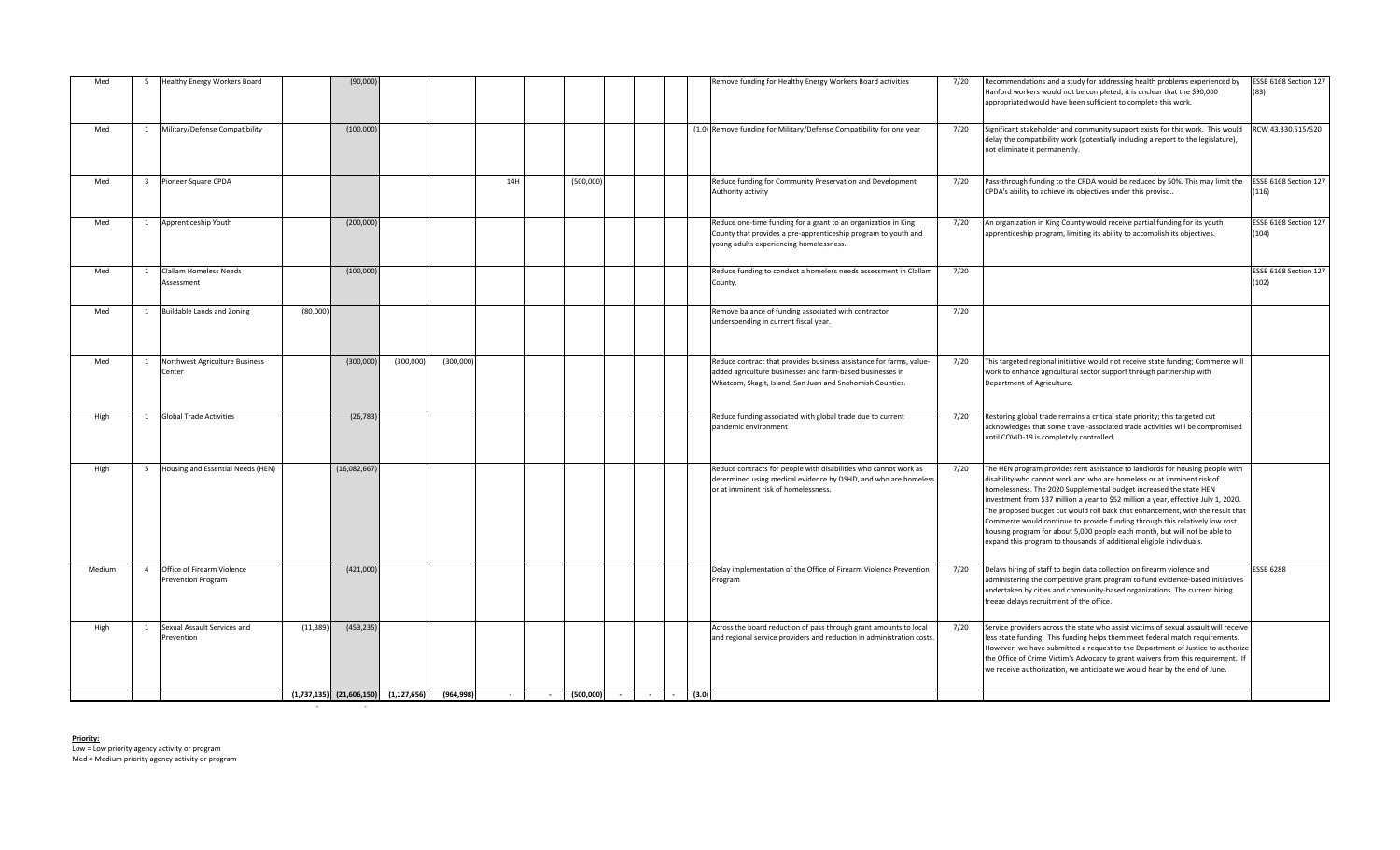| Med    | -5             | Healthy Energy Workers Board                            |           | (90,000)     |                                            |           |                 |                           |  |  | Remove funding for Healthy Energy Workers Board activities                                                                                                                                   | 7/20 | Recommendations and a study for addressing health problems experienced by<br>Hanford workers would not be completed; it is unclear that the \$90,000<br>appropriated would have been sufficient to complete this work.                                                                                                                                                                                                                                                                                                                                                                                                                      | ESSB 6168 Section 127<br>(83)  |
|--------|----------------|---------------------------------------------------------|-----------|--------------|--------------------------------------------|-----------|-----------------|---------------------------|--|--|----------------------------------------------------------------------------------------------------------------------------------------------------------------------------------------------|------|---------------------------------------------------------------------------------------------------------------------------------------------------------------------------------------------------------------------------------------------------------------------------------------------------------------------------------------------------------------------------------------------------------------------------------------------------------------------------------------------------------------------------------------------------------------------------------------------------------------------------------------------|--------------------------------|
| Med    | 1              | Military/Defense Compatibility                          |           | (100,000)    |                                            |           |                 |                           |  |  | (1.0) Remove funding for Military/Defense Compatibility for one year                                                                                                                         | 7/20 | Significant stakeholder and community support exists for this work. This would<br>delay the compatibility work (potentially including a report to the legislature),<br>not eliminate it permanently.                                                                                                                                                                                                                                                                                                                                                                                                                                        | RCW 43.330.515/520             |
| Med    |                | Pioneer Square CPDA                                     |           |              |                                            |           | 14H             | (500,000)                 |  |  | Reduce funding for Community Preservation and Development<br>Authority activity                                                                                                              | 7/20 | Pass-through funding to the CPDA would be reduced by 50%. This may limit the<br>CPDA's ability to achieve its objectives under this proviso                                                                                                                                                                                                                                                                                                                                                                                                                                                                                                 | ESSB 6168 Section 127<br>(116) |
| Med    | 1              | Apprenticeship Youth                                    |           | (200,000)    |                                            |           |                 |                           |  |  | Reduce one-time funding for a grant to an organization in King<br>County that provides a pre-apprenticeship program to youth and<br>young adults experiencing homelessness.                  | 7/20 | An organization in King County would receive partial funding for its youth<br>apprenticeship program, limiting its ability to accomplish its objectives.                                                                                                                                                                                                                                                                                                                                                                                                                                                                                    | ESSB 6168 Section 127<br>(104) |
| Med    | $\mathbf{1}$   | Clallam Homeless Needs<br>Assessment                    |           | (100,000)    |                                            |           |                 |                           |  |  | Reduce funding to conduct a homeless needs assessment in Clallam<br>County.                                                                                                                  | 7/20 |                                                                                                                                                                                                                                                                                                                                                                                                                                                                                                                                                                                                                                             | ESSB 6168 Section 127<br>(102) |
| Med    | $\overline{1}$ | Buildable Lands and Zoning                              | (80,000)  |              |                                            |           |                 |                           |  |  | Remove balance of funding associated with contractor<br>underspending in current fiscal year.                                                                                                | 7/20 |                                                                                                                                                                                                                                                                                                                                                                                                                                                                                                                                                                                                                                             |                                |
| Med    |                | Northwest Agriculture Business<br>Center                |           | (300,000)    | (300,000)                                  | (300,000) |                 |                           |  |  | Reduce contract that provides business assistance for farms, value<br>added agriculture businesses and farm-based businesses in<br>Whatcom, Skagit, Island, San Juan and Snohomish Counties. | 7/20 | This targeted regional initiative would not receive state funding; Commerce will<br>work to enhance agricultural sector support through partnership with<br>Department of Agriculture.                                                                                                                                                                                                                                                                                                                                                                                                                                                      |                                |
| High   |                | <b>Global Trade Activities</b>                          |           | (26, 783)    |                                            |           |                 |                           |  |  | Reduce funding associated with global trade due to current<br>pandemic environment                                                                                                           | 7/20 | Restoring global trade remains a critical state priority; this targeted cut<br>acknowledges that some travel-associated trade activities will be compromised<br>until COVID-19 is completely controlled.                                                                                                                                                                                                                                                                                                                                                                                                                                    |                                |
| High   | - 5            | Housing and Essential Needs (HEN)                       |           | (16,082,667) |                                            |           |                 |                           |  |  | Reduce contracts for people with disabilities who cannot work as<br>determined using medical evidence by DSHD, and who are homeless<br>or at imminent risk of homelessness.                  | 7/20 | The HEN program provides rent assistance to landlords for housing people with<br>disability who cannot work and who are homeless or at imminent risk of<br>homelessness. The 2020 Supplemental budget increased the state HEN<br>investment from \$37 million a year to \$52 million a year, effective July 1, 2020.<br>The proposed budget cut would roll back that enhancement, with the result that<br>Commerce would continue to provide funding through this relatively low cost<br>housing program for about 5,000 people each month, but will not be able to<br>expand this program to thousands of additional eligible individuals. |                                |
| Medium | $\overline{4}$ | Office of Firearm Violence<br><b>Prevention Program</b> |           | (421,000)    |                                            |           |                 |                           |  |  | Delay implementation of the Office of Firearm Violence Prevention<br>Program                                                                                                                 | 7/20 | Delays hiring of staff to begin data collection on firearm violence and<br>administering the competitive grant program to fund evidence-based initiatives<br>undertaken by cities and community-based organizations. The current hiring<br>freeze delays recruitment of the office.                                                                                                                                                                                                                                                                                                                                                         | <b>SSB 6288</b>                |
| High   |                | Sexual Assault Services and<br>Prevention               | (11, 389) | (453, 235)   |                                            |           |                 |                           |  |  | Across the board reduction of pass through grant amounts to local<br>and regional service providers and reduction in administration costs.                                                   | 7/20 | Service providers across the state who assist victims of sexual assault will receive<br>less state funding. This funding helps them meet federal match requirements.<br>However, we have submitted a request to the Department of Justice to authorize<br>the Office of Crime Victim's Advocacy to grant waivers from this requirement. If<br>we receive authorization, we anticipate we would hear by the end of June.                                                                                                                                                                                                                     |                                |
|        |                |                                                         |           |              | $(1,737,135)$ $(21,606,150)$ $(1,127,656)$ | (964.998) | $\sim 10^{-11}$ | $-$ (500,000) - - - (3.0) |  |  |                                                                                                                                                                                              |      |                                                                                                                                                                                                                                                                                                                                                                                                                                                                                                                                                                                                                                             |                                |

- - - - - - - - - - -